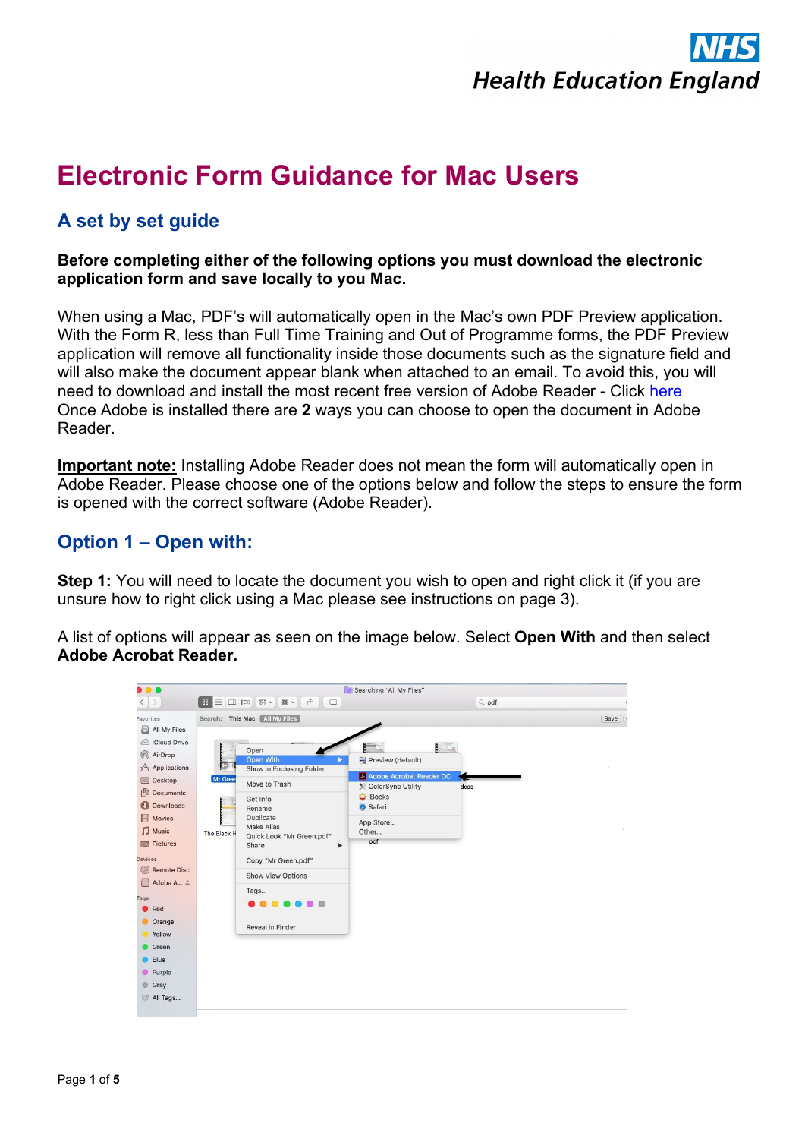

# **Electronic Form Guidance for Mac Users**

## **A set by set guide**

#### **Before completing either of the following options you must download the electronic application form and save locally to you Mac.**

When using a Mac, PDF's will automatically open in the Mac's own PDF Preview application. With the Form R, less than Full Time Training and Out of Programme forms, the PDF Preview application will remove all functionality inside those documents such as the signature field and will also make the document appear blank when attached to an email. To avoid this, you will need to download and install the most recent free version of Adobe Reader - Click [here](https://get.adobe.com/uk/reader/) Once Adobe is installed there are **2** ways you can choose to open the document in Adobe Reader.

**Important note:** Installing Adobe Reader does not mean the form will automatically open in Adobe Reader. Please choose one of the options below and follow the steps to ensure the form is opened with the correct software (Adobe Reader).

#### **Option 1 – Open with:**

**Step 1:** You will need to locate the document you wish to open and right click it (if you are unsure how to right click using a Mac please see instructions on page 3).

A list of options will appear as seen on the image below. Select **Open With** and then select **Adobe Acrobat Reader.**

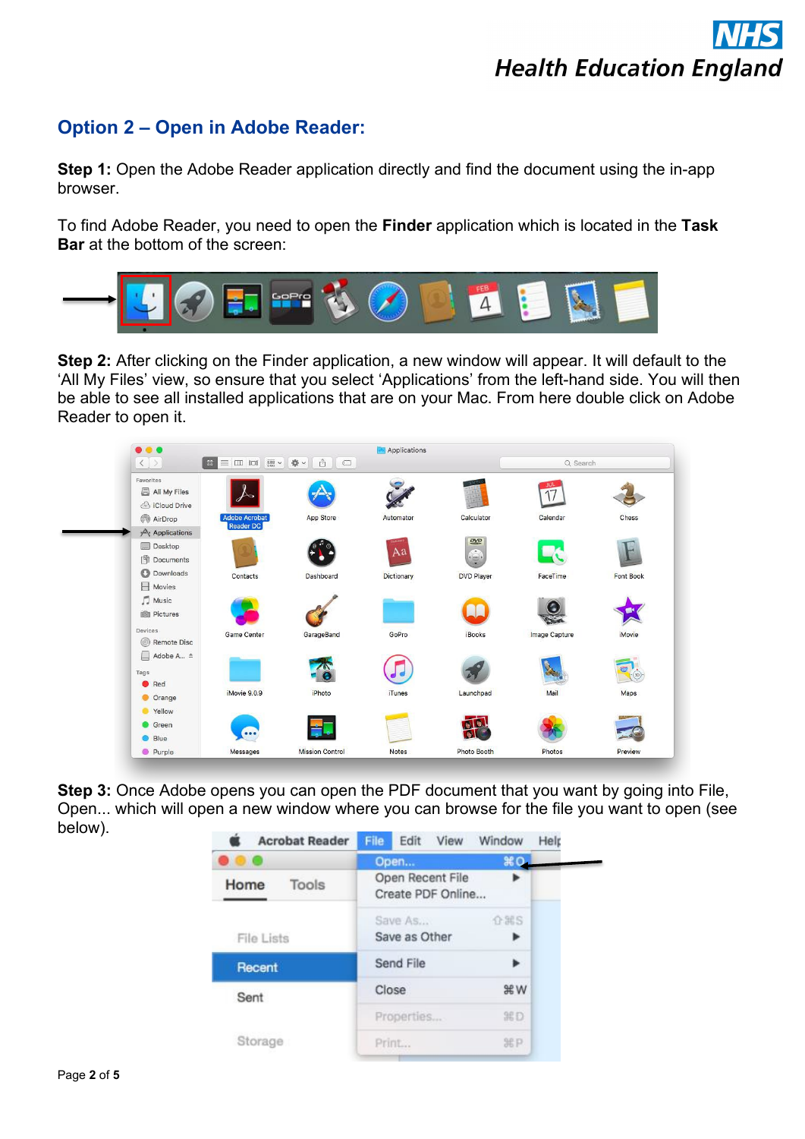## **Option 2 – Open in Adobe Reader:**

**Step 1:** Open the Adobe Reader application directly and find the document using the in-app browser.

To find Adobe Reader, you need to open the **Finder** application which is located in the **Task Bar** at the bottom of the screen:



**Step 2:** After clicking on the Finder application, a new window will appear. It will default to the 'All My Files' view, so ensure that you select 'Applications' from the left-hand side. You will then be able to see all installed applications that are on your Mac. From here double click on Adobe Reader to open it.



**Step 3:** Once Adobe opens you can open the PDF document that you want by going into File, Open... which will open a new window where you can browse for the file you want to open (see below).

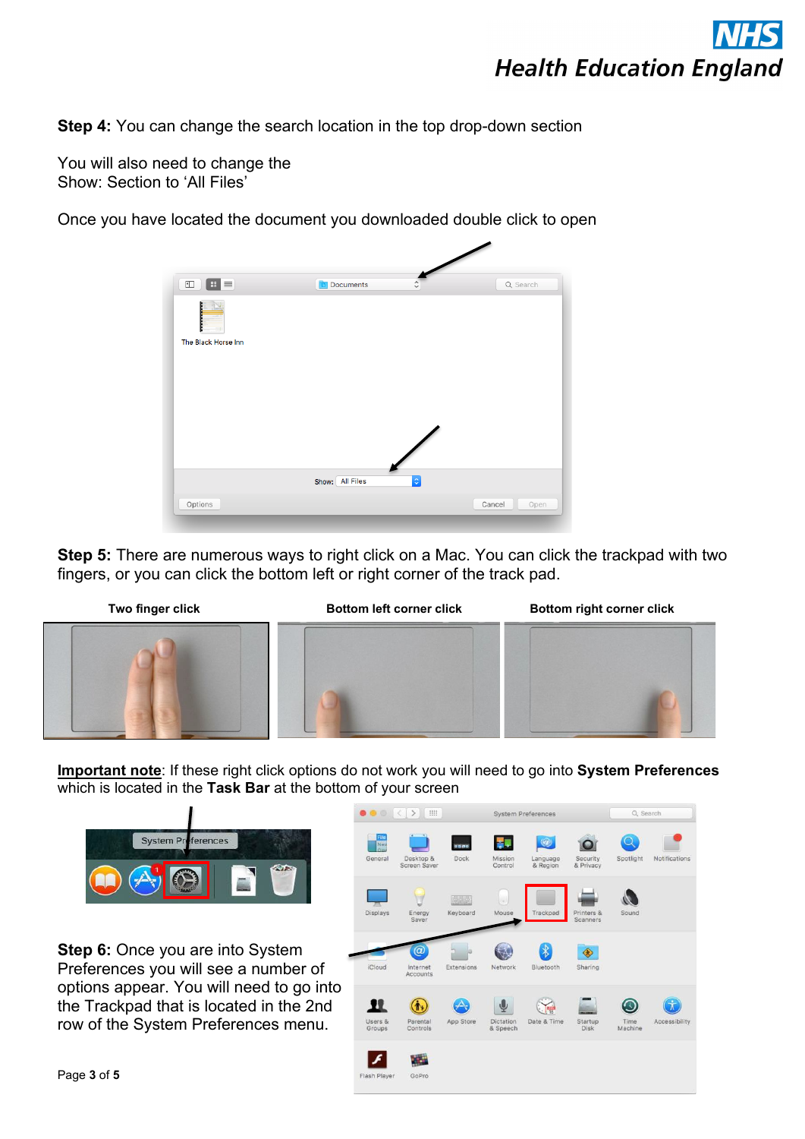

**Step 4:** You can change the search location in the top drop-down section

You will also need to change the Show: Section to 'All Files'

Once you have located the document you downloaded double click to open

| $\mathbb{R}$ $\equiv$<br>$\Box$ | <b>D</b> Documents<br>$\hat{\cdot}$ | Q Search |
|---------------------------------|-------------------------------------|----------|
|                                 |                                     |          |
|                                 |                                     |          |
| The Black Horse Inn             |                                     |          |
|                                 |                                     |          |
|                                 |                                     |          |
|                                 |                                     |          |
|                                 |                                     |          |
|                                 |                                     |          |
|                                 |                                     |          |
|                                 |                                     |          |
|                                 |                                     |          |

**Step 5:** There are numerous ways to right click on a Mac. You can click the trackpad with two fingers, or you can click the bottom left or right corner of the track pad.



**Important note**: If these right click options do not work you will need to go into **System Preferences**  which is located in the **Task Bar** at the bottom of your screen



**Step 6:** Once you are into System Preferences you will see a number of options appear. You will need to go into the Trackpad that is located in the 2nd row of the System Preferences menu.

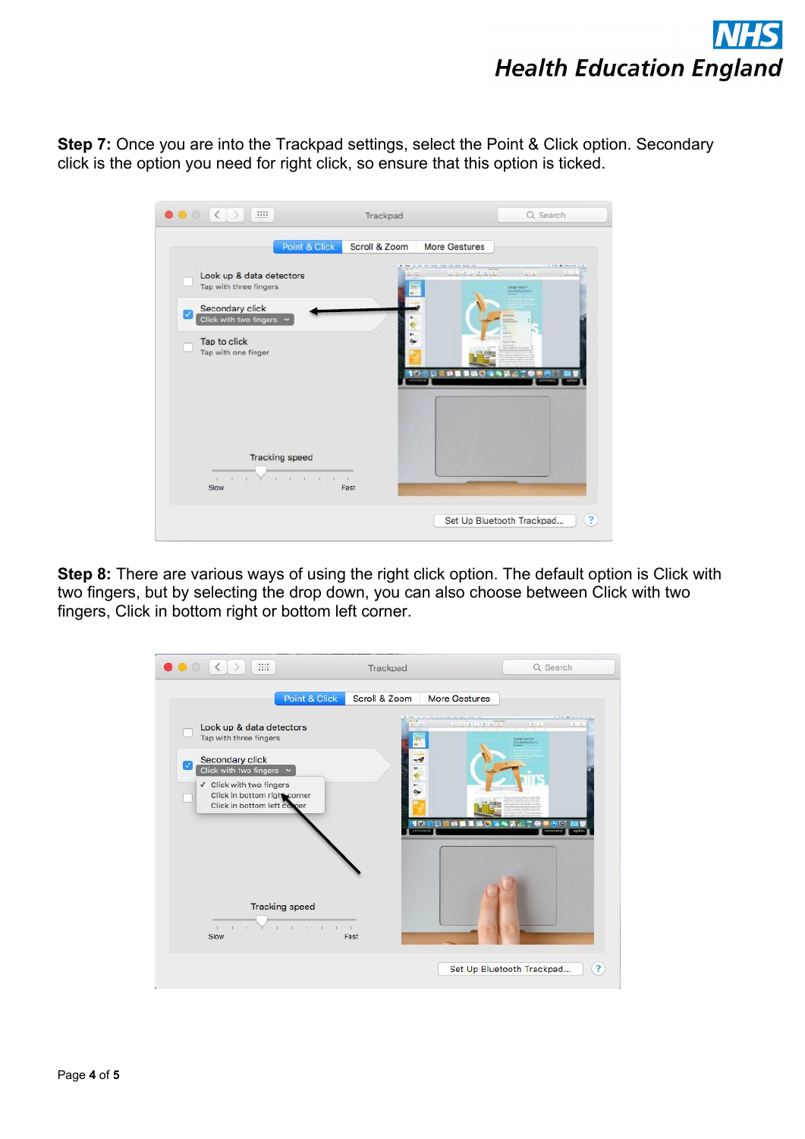# **Health Education England**

**Step 7:** Once you are into the Trackpad settings, select the Point & Click option. Secondary click is the option you need for right click, so ensure that this option is ticked.

| Point & Click                                                                      | Scroll & Zoom | More Gestures                                                               |
|------------------------------------------------------------------------------------|---------------|-----------------------------------------------------------------------------|
| Look up & data detectors<br>Tap with three fingers                                 |               | a trail at security.<br>market on later<br><b>ALC A</b><br>m<br>Inter Faces |
| Secondary click<br>$\mathbf{v}$<br>Click with two fingers v                        |               |                                                                             |
| Tap to click<br>Tap with one finger                                                |               |                                                                             |
|                                                                                    |               |                                                                             |
|                                                                                    |               |                                                                             |
| <b>Tracking speed</b>                                                              |               |                                                                             |
| $k = 11k - 1$<br>$\sim$<br>$-141$<br>$\mathbb{R}$<br>$1.111 - 14.$<br>Slow<br>Fast |               |                                                                             |

**Step 8:** There are various ways of using the right click option. The default option is Click with two fingers, but by selecting the drop down, you can also choose between Click with two fingers, Click in bottom right or bottom left corner.